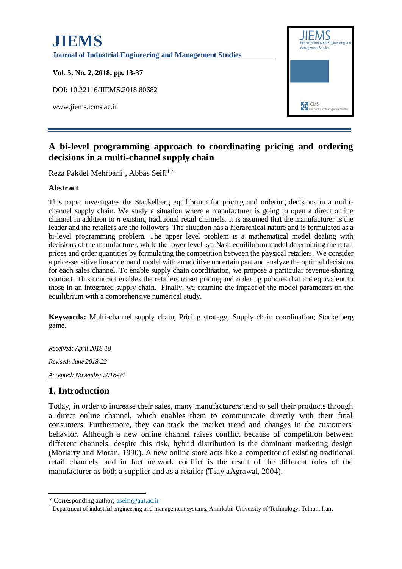

# **A bi-level programming approach to coordinating pricing and ordering decisions in a multi-channel supply chain**

Reza Pakdel Mehrbani<sup>1</sup>, Abbas Seifi<sup>1,\*</sup>

#### **Abstract**

This paper investigates the Stackelberg equilibrium for pricing and ordering decisions in a multichannel supply chain. We study a situation where a manufacturer is going to open a direct online channel in addition to *n* existing traditional retail channels. It is assumed that the manufacturer is the leader and the retailers are the followers. The situation has a hierarchical nature and is formulated as a bi-level programming problem. The upper level problem is a mathematical model dealing with decisions of the manufacturer, while the lower level is a Nash equilibrium model determining the retail prices and order quantities by formulating the competition between the physical retailers. We consider a price-sensitive linear demand model with an additive uncertain part and analyze the optimal decisions for each sales channel. To enable supply chain coordination, we propose a particular revenue-sharing contract. This contract enables the retailers to set pricing and ordering policies that are equivalent to those in an integrated supply chain. Finally, we examine the impact of the model parameters on the equilibrium with a comprehensive numerical study.

**Keywords:** Multi-channel supply chain; Pricing strategy; Supply chain coordination; Stackelberg game.

*Received: April 2018-18 Revised: June 2018-22 Accepted: November 2018-04*

# **1. Introduction**

1

Today, in order to increase their sales, many manufacturers tend to sell their products through a direct online channel, which enables them to communicate directly with their final consumers. Furthermore, they can track the market trend and changes in the customers' behavior. Although a new online channel raises conflict because of competition between different channels, despite this risk, hybrid distribution is the dominant marketing design (Moriarty and Moran, 1990). A new online store acts like a competitor of existing traditional retail channels, and in fact network conflict is the result of the different roles of the manufacturer as both a supplier and as a retailer (Tsay aAgrawal, 2004).

<sup>\*</sup> Corresponding author; [aseifi@aut.ac.ir](mailto:aseifi@aut.ac.ir)

<sup>1</sup> Department of industrial engineering and management systems, Amirkabir University of Technology, Tehran, Iran.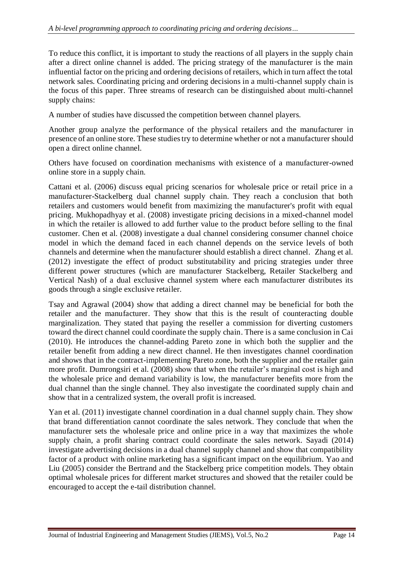To reduce this conflict, it is important to study the reactions of all players in the supply chain after a direct online channel is added. The pricing strategy of the manufacturer is the main influential factor on the pricing and ordering decisions of retailers, which in turn affect the total network sales. Coordinating pricing and ordering decisions in a multi-channel supply chain is the focus of this paper. Three streams of research can be distinguished about multi-channel supply chains:

A number of studies have discussed the competition between channel players.

Another group analyze the performance of the physical retailers and the manufacturer in presence of an online store. These studies try to determine whether or not a manufacturer should open a direct online channel.

Others have focused on coordination mechanisms with existence of a manufacturer-owned online store in a supply chain.

Cattani et al. (2006) discuss equal pricing scenarios for wholesale price or retail price in a manufacturer-Stackelberg dual channel supply chain. They reach a conclusion that both retailers and customers would benefit from maximizing the manufacturer's profit with equal pricing. Mukhopadhyay et al. (2008) investigate pricing decisions in a mixed-channel model in which the retailer is allowed to add further value to the product before selling to the final customer. Chen et al. (2008) investigate a dual channel considering consumer channel choice model in which the demand faced in each channel depends on the service levels of both channels and determine when the manufacturer should establish a direct channel. Zhang et al. (2012) investigate the effect of product substitutability and pricing strategies under three different power structures (which are manufacturer Stackelberg, Retailer Stackelberg and Vertical Nash) of a dual exclusive channel system where each manufacturer distributes its goods through a single exclusive retailer.

Tsay and Agrawal (2004) show that adding a direct channel may be beneficial for both the retailer and the manufacturer. They show that this is the result of counteracting double marginalization. They stated that paying the reseller a commission for diverting customers toward the direct channel could coordinate the supply chain. There is a same conclusion in Cai (2010). He introduces the channel-adding Pareto zone in which both the supplier and the retailer benefit from adding a new direct channel. He then investigates channel coordination and shows that in the contract-implementing Pareto zone, both the supplier and the retailer gain more profit. Dumrongsiri et al. (2008) show that when the retailer's marginal cost is high and the wholesale price and demand variability is low, the manufacturer benefits more from the dual channel than the single channel. They also investigate the coordinated supply chain and show that in a centralized system, the overall profit is increased.

Yan et al. (2011) investigate channel coordination in a dual channel supply chain. They show that brand differentiation cannot coordinate the sales network. They conclude that when the manufacturer sets the wholesale price and online price in a way that maximizes the whole supply chain, a profit sharing contract could coordinate the sales network. Sayadi (2014) investigate advertising decisions in a dual channel supply channel and show that compatibility factor of a product with online marketing has a significant impact on the equilibrium. Yao and Liu (2005) consider the Bertrand and the Stackelberg price competition models. They obtain optimal wholesale prices for different market structures and showed that the retailer could be encouraged to accept the e-tail distribution channel.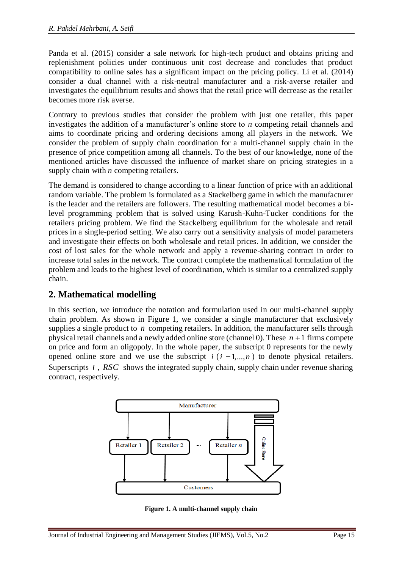Panda et al. (2015) consider a sale network for high-tech product and obtains pricing and replenishment policies under continuous unit cost decrease and concludes that product compatibility to online sales has a significant impact on the pricing policy. Li et al. (2014) consider a dual channel with a risk-neutral manufacturer and a risk-averse retailer and investigates the equilibrium results and shows that the retail price will decrease as the retailer becomes more risk averse.

Contrary to previous studies that consider the problem with just one retailer, this paper investigates the addition of a manufacturer's online store to *n* competing retail channels and aims to coordinate pricing and ordering decisions among all players in the network. We consider the problem of supply chain coordination for a multi-channel supply chain in the presence of price competition among all channels. To the best of our knowledge, none of the mentioned articles have discussed the influence of market share on pricing strategies in a supply chain with *n* competing retailers.

The demand is considered to change according to a linear function of price with an additional random variable. The problem is formulated as a Stackelberg game in which the manufacturer is the leader and the retailers are followers. The resulting mathematical model becomes a bilevel programming problem that is solved using Karush-Kuhn-Tucker conditions for the retailers pricing problem. We find the Stackelberg equilibrium for the wholesale and retail prices in a single-period setting. We also carry out a sensitivity analysis of model parameters and investigate their effects on both wholesale and retail prices. In addition, we consider the cost of lost sales for the whole network and apply a revenue-sharing contract in order to increase total sales in the network. The contract complete the mathematical formulation of the problem and leads to the highest level of coordination, which is similar to a centralized supply chain.

# **2. Mathematical modelling**

In this section, we introduce the notation and formulation used in our multi-channel supply chain problem. As shown in [Figure 1,](#page-2-0) we consider a single manufacturer that exclusively supplies a single product to  $n$  competing retailers. In addition, the manufacturer sells through physical retail channels and a newly added online store (channel  $0$ ). These  $n+1$  firms compete on price and form an oligopoly. In the whole paper, the subscript 0 represents for the newly opened online store and we use the subscript  $i$  ( $i = 1,...,n$ ) to denote physical retailers. Superscripts *I*, *RSC* shows the integrated supply chain, supply chain under revenue sharing contract, respectively.



<span id="page-2-0"></span>**Figure 1. A multi-channel supply chain**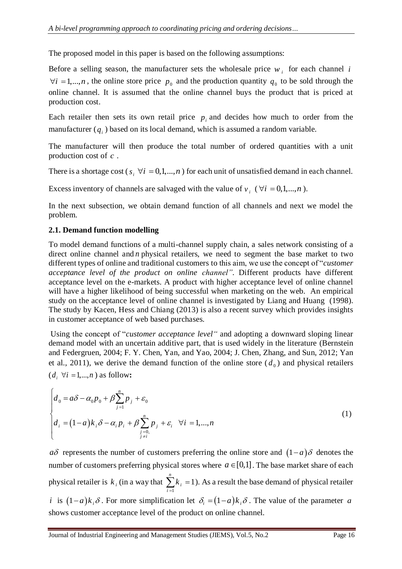The proposed model in this paper is based on the following assumptions:

Before a selling season, the manufacturer sets the wholesale price  $w_i$  for each channel *i*  $\forall i = 1,...,n$ , the online store price  $p_0$  and the production quantity  $q_0$  to be sold through the online channel. It is assumed that the online channel buys the product that is priced at production cost.

Each retailer then sets its own retail price  $p_i$  and decides how much to order from the manufacturer  $(q_i)$  based on its local demand, which is assumed a random variable.

The manufacturer will then produce the total number of ordered quantities with a unit production cost of *<sup>c</sup>* .

There is a shortage cost ( $s_i \; \forall i = 0,1,...,n$ ) for each unit of unsatisfied demand in each channel.

Excess inventory of channels are salvaged with the value of  $v_i$  ( $\forall i = 0,1,...,n$ ).

In the next subsection, we obtain demand function of all channels and next we model the problem.

### **2.1. Demand function modelling**

To model demand functions of a multi-channel supply chain, a sales network consisting of a direct online channel and *n* physical retailers, we need to segment the base market to two different types of online and traditional customers to this aim, we use the concept of "*customer acceptance level of the product on online channel"*. Different products have different acceptance level on the e-markets. A product with higher acceptance level of online channel will have a higher likelihood of being successful when marketing on the web. An empirical study on the acceptance level of online channel is investigated by Liang and Huang (1998). The study by Kacen, Hess and Chiang (2013) is also a recent survey which provides insights in customer acceptance of web based purchases.

Using the concept of "*customer acceptance level"* and adopting a downward sloping linear demand model with an uncertain additive part, that is used widely in the literature (Bernstein and Federgruen, 2004; F. Y. Chen, Yan, and Yao, 2004; J. Chen, Zhang, and Sun, 2012; Yan et al., 2011), we derive the demand function of the online store  $(d_0)$  and physical retailers  $(d_i \ \forall i = 1,...,n)$  as follow:

$$
\begin{cases}\n d_0 = a\delta - \alpha_0 p_0 + \beta \sum_{j=1}^n p_j + \varepsilon_0 \\
 d_i = (1-a)k_i \delta - \alpha_i p_i + \beta \sum_{\substack{j=0, \\ j \neq i}}^n p_j + \varepsilon_i \quad \forall i = 1,...,n\n\end{cases}
$$
\n(1)

*a* $\delta$  represents the number of customers preferring the online store and  $(1-a)\delta$  denotes the number of customers preferring physical stores where  $a \in [0,1]$ . The base market share of each physical retailer is  $k_i$  (in a way that 1  $\sum_{k=1}^{n} k_{i} = 1$ *i i k*  $\sum_{i=1}^{n} k_i = 1$ ). As a result the base demand of physical retailer *i* is  $(1-a)k_i\delta$ . For more simplification let  $\delta_i = (1-a)k_i\delta$ . The value of the parameter a shows customer acceptance level of the product on online channel.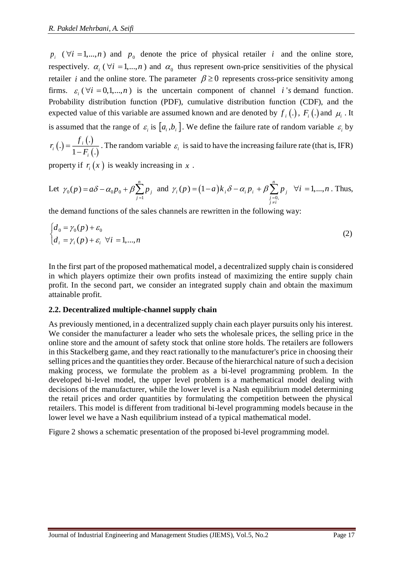$p_i$  ( $\forall i = 1,...,n$ ) and  $p_0$  denote the price of physical retailer *i* and the online store, respectively.  $\alpha_i$  ( $\forall i = 1,...,n$ ) and  $\alpha_0$  thus represent own-price sensitivities of the physical retailer *i* and the online store. The parameter  $\beta \ge 0$  represents cross-price sensitivity among firms.  $\varepsilon_i$  ( $\forall i$  = 0,1,...,*n*) is the uncertain component of channel *i*'*s* demand function. Probability distribution function (PDF), cumulative distribution function (CDF), and the expected value of this variable are assumed known and are denoted by  $f_i(.)$ ,  $F_i(.)$  and  $\mu_i$ . It is assumed that the range of  $\varepsilon_i$  is  $[a_i, b_i]$ . We define the failure rate of random variable  $\varepsilon_i$  by . *f*

 $(.)$  $(.)$  $(.)$ .  $1 - F_i$ . *i i i r F*  $=$  $\overline{a}$ . The random variable  $\varepsilon_i$  is said to have the increasing failure rate (that is, IFR)

property if  $r_i(x)$  is weakly increasing in x.

Let 
$$
\gamma_0(p) = a\delta - \alpha_0 p_0 + \beta \sum_{j=1}^n p_j
$$
 and  $\gamma_i(p) = (1-a)k_i \delta - \alpha_i p_i + \beta \sum_{\substack{j=0,\\j \neq i}}^n p_j$   $\forall i = 1,...,n$ . Thus,

the demand functions of the sales channels are rewritten in the following way:

$$
\begin{cases}\nd_0 = \gamma_0(p) + \varepsilon_0 \\
d_i = \gamma_i(p) + \varepsilon_i \quad \forall i = 1, ..., n\n\end{cases}
$$
\n(2)

In the first part of the proposed mathematical model, a decentralized supply chain is considered in which players optimize their own profits instead of maximizing the entire supply chain profit. In the second part, we consider an integrated supply chain and obtain the maximum attainable profit.

#### **2.2. Decentralized multiple-channel supply chain**

As previously mentioned, in a decentralized supply chain each player pursuits only his interest. We consider the manufacturer a leader who sets the wholesale prices, the selling price in the online store and the amount of safety stock that online store holds. The retailers are followers in this Stackelberg game, and they react rationally to the manufacturer's price in choosing their selling prices and the quantities they order. Because of the hierarchical nature of such a decision making process, we formulate the problem as a bi-level programming problem. In the developed bi-level model, the upper level problem is a mathematical model dealing with decisions of the manufacturer, while the lower level is a Nash equilibrium model determining the retail prices and order quantities by formulating the competition between the physical retailers. This model is different from traditional bi-level programming models because in the lower level we have a Nash equilibrium instead of a typical mathematical model.

[Figure 2](#page-5-0) shows a schematic presentation of the proposed bi-level programming model.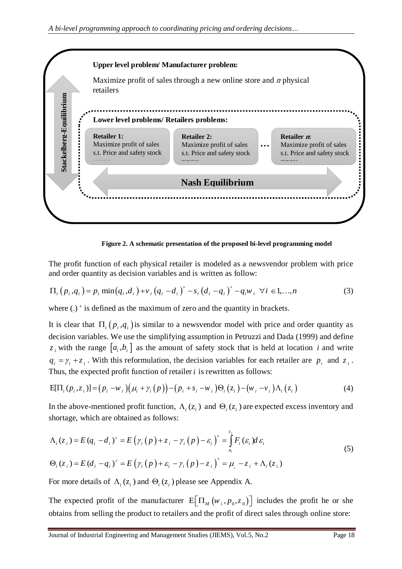

**Figure 2. A schematic presentation of the proposed bi-level programming model**

<span id="page-5-0"></span>The profit function of each physical retailer is modeled as a newsvendor problem with price and order quantity as decision variables and is written as follow:

$$
\Pi_{i}(p_{i},q_{i}) = p_{i} \min(q_{i},d_{i}) + v_{i}(q_{i}-d_{i})^{+} - s_{i}(d_{i}-q_{i})^{+} - q_{i}w_{i} \ \forall i \in 1,...,n
$$
\n(3)

where  $(.)^+$  is defined as the maximum of zero and the quantity in brackets.

It is clear that  $\Pi_i(p_i, q_i)$  is similar to a newsvendor model with price and order quantity as decision variables. We use the simplifying assumption in Petruzzi and Dada (1999) and define  $z_i$  with the range  $[a_i, b_i]$  as the amount of safety stock that is held at location *i* and write  $q_i = \gamma_i + z_i$ . With this reformulation, the decision variables for each retailer are  $p_i$  and  $z_i$ . Thus, the expected profit function of retailer *i* is rewritten as follows:

$$
E[\Pi_i(p_i, z_i)] = (p_i - w_i)(\mu_i + \gamma_i(p)) - (p_i + s_i - w_i)\Theta_i(z_i) - (w_i - v_i)\Lambda_i(z_i)
$$
\n
$$
(4)
$$

In the above-mentioned profit function,  $\Lambda_i(z_i)$  and  $\Theta_i(z_i)$  are expected excess inventory and shortage, which are obtained as follows:

$$
\Lambda_i(z_i) = E(q_i - d_i)^+ = E(\gamma_i(p) + z_i - \gamma_i(p) - \varepsilon_i)^+ = \int_{a_i}^{z_i} F_i(\varepsilon_i) d\varepsilon_i
$$
  
\n
$$
\Theta_i(z_i) = E(d_i - q_i)^+ = E(\gamma_i(p) + \varepsilon_i - \gamma_i(p) - z_i)^+ = \mu_i - z_i + \Lambda_i(z_i)
$$
\n(5)

For more details of  $\Lambda_i(z_i)$  and  $\Theta_i(z_i)$  please see Appendix A.

The expected profit of the manufacturer  $E[\Pi_M(w_i, p_0, z_0)]$  includes the profit he or she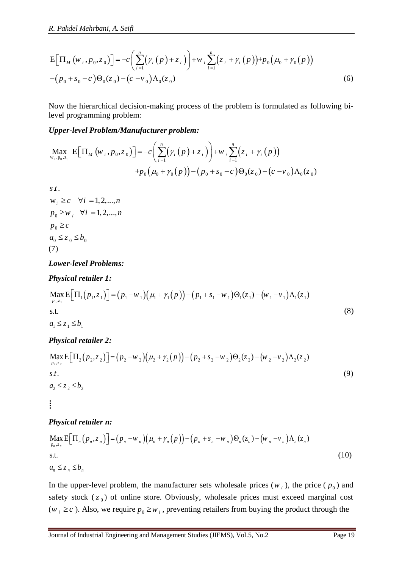R. Pakdel Mehrbani, A. Seifi  
\n
$$
E[\Pi_{M}(w_{i}, p_{0}, z_{0})] = -c \left( \sum_{i=1}^{n} (\gamma_{i}(p) + z_{i}) \right) + w_{i} \sum_{i=1}^{n} (z_{i} + \gamma_{i}(p)) + p_{0} (\mu_{0} + \gamma_{0}(p)) - (p_{0} + s_{0} - c) \Theta_{0}(z_{0}) - (c - v_{0}) \Lambda_{0}(z_{0})
$$
\n(6)

Now the hierarchical decision-making process of the problem is formulated as following bilevel programming problem:

#### *Upper-level Problem/Manufacturer problem:*

$$
\underset{\mathbf{w}_{i}, \mathbf{p}_{0}, \mathbf{z}_{0}}{\text{Max}} \mathbf{E} \Big[ \Pi_{M} \left( w_{i}, p_{0}, z_{0} \right) \Big] = -c \Bigg( \sum_{i=1}^{n} \Big( \gamma_{i} \Big( p \Big) + z_{i} \Big) \Bigg) + w_{i} \sum_{i=1}^{n} \Big( z_{i} + \gamma_{i} \Big( p \Big) \Big) + p_{0} \Big( \mu_{0} + \gamma_{0} \Big( p \Big) \Big) - \Big( p_{0} + s_{0} - c \Big) \Theta_{0} \Big( z_{0} \Big) - \Big( c - v_{0} \Big) \Lambda_{0} \Big( z_{0} \Big)
$$

. . *s t*

 $p_0 \geq w_i$ ,  $\forall i = 1, 2, ..., n$  $p_{0} \geq c$  $a_0 \leq z_0 \leq b_0$  $w_i \geq c \quad \forall i = 1, 2, ..., n$ (7)

#### *Lower-level Problems:*

#### *Physical retailer 1:*

*Lower-level Problems:*  
\n*Physical retailer 1:*  
\n
$$
\max_{p_1,z_1} E\Big[\Pi_1(p_1,z_1)\Big] = (p_1 - w_1)\Big(\mu_1 + \gamma_1(p)\Big) - (p_1 + s_1 - w_1)\Theta_1(z_1) - (w_1 - v_1)\Lambda_1(z_1)
$$
\n*s.t.*  
\n*a*<sub>1</sub>  $\leq z_1 \leq b_1$  (8)

## *Physical retailer 2:*

E[
$$
ΠM(ψ1, ρ0, z0)] = -c[2[(z1(z1) + ω1]1(z1 + z2(z1 + z1(p)] + p0(μ0 + z0(p)) (6)\n-(p0 + s0 - c)Θ0(z0) – (c -v0)Λ0(z0) (6)\nNow the hierarchical decision-making process of the problem is formulated as following bi-\nlevel programming problem:\nMax E[ $ΠM(ψ1, ρ0, z0)] = -c(\sum_{i=1}^{n} (γi + χi)(p)+αi) + ωi(zi + γi(p))$   
\n+ p<sub>0</sub>(μ<sub>0</sub> + *z*<sub>0</sub>(p)) – (p<sub>0</sub> + *s*<sub>0</sub> - c)Θ<sub>0</sub>(z<sub>0</sub>) – (c -*ν*<sub>0</sub>)Λ<sub>0</sub>(z<sub>0</sub>)  
\ns*t*.  
\nW<sub>i</sub> ≥ c √*i* = 1, 2, ..., n  
\n $p_0 ≥ c$   
\n $a_0 ≤ z_0 ≤ b_0$   
\n(7)  
\nLower-level Problems:  
\nPhysical retailer 1:  
\n $\sum_{p_1z_1} p_1(p_1,z_1) = (p_1-w_1)(μ_1+γ_1(p)) - (p_1 + s_1-w_1)Θ_1(z_1) - (w_1 - v_1)Λ_1(z_1)$   
\n $\sum_{p_1z_1} p_2 = (p_1-w_1)(μ_1+γ_1(p)) - (p_1 + s_1-w_1)Θ_1(z_1)$
$$

#### *Physical retailer n:*

$$
\begin{aligned}\n\textbf{Physical retailer } n: \\
\underset{p_n, z_n}{\text{Max}} \mathbb{E} \Big[ \Pi_n \big( p_n, z_n \big) \Big] &= \big( p_n - w_n \big) \big( \mu_n + \gamma_n \big( p \big) \big) - \big( p_n + s_n - w_n \big) \Theta_n(z_n) - \big( w_n - v_n \big) \Lambda_n(z_n) \\
\text{s.t.} \\
a_n \leq z_n \leq b_n\n\end{aligned} \tag{10}
$$

In the upper-level problem, the manufacturer sets wholesale prices  $(w_i)$ , the price  $(p_0)$  and safety stock (z<sub>0</sub>) of online store. Obviously, wholesale prices must exceed marginal cost  $(w_i \geq c)$ . Also, we require  $p_0 \geq w_i$ , preventing retailers from buying the product through the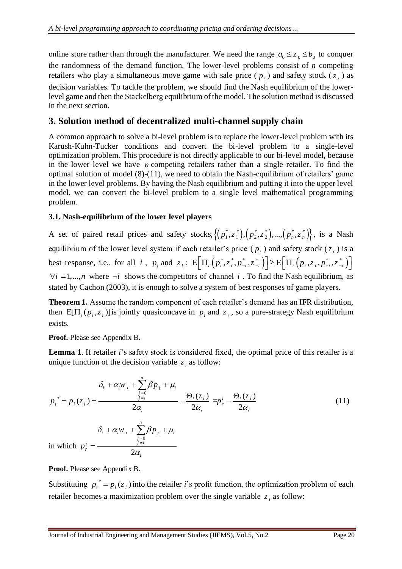online store rather than through the manufacturer. We need the range  $a_0 \le z_0 \le b_0$  to conquer the randomness of the demand function. The lower-level problems consist of *n* competing retailers who play a simultaneous move game with sale price  $(p_i)$  and safety stock  $(z_i)$  as decision variables. To tackle the problem, we should find the Nash equilibrium of the lowerlevel game and then the Stackelberg equilibrium of the model. The solution method is discussed in the next section.

# **3. Solution method of decentralized multi-channel supply chain**

A common approach to solve a bi-level problem is to replace the lower-level problem with its Karush-Kuhn-Tucker conditions and convert the bi-level problem to a single-level optimization problem. This procedure is not directly applicable to our bi-level model, because in the lower level we have *n* competing retailers rather than a single retailer. To find the optimal solution of model (8)-(11), we need to obtain the Nash-equilibrium of retailers' game in the lower level problems. By having the Nash equilibrium and putting it into the upper level model, we can convert the bi-level problem to a single level mathematical programming problem.

#### **3.1. Nash-equilibrium of the lower level players**

A set of paired retail prices and safety stocks,  $\{(p_1^*, z_1^*), (p_2^*, z_2^*, \dots, (p_n^*, z_n^*)\},\dots, (p_n^*, z_n^*)\}$  $\{p_1^*, z_1^*\}, \{p_2^*, z_2^*\}, \dots, \{p_n^*, z_n^*\}\},$  is a Nash equilibrium of the lower level system if each retailer's price  $(p_i)$  and safety stock  $(z_i)$  is a best response, i.e., for all i,  $p_i$  and  $z_i$ :  $E\left[\Pi_i\left(p_i^*, z_i^*, p_{-i}^*, z_{-i}^*\right)\right] \ge E\left[\Pi_i\left(p_i, z_i, p_{-i}^*, z_{-i}^*\right)\right]$  $\forall i = 1,...,n$  where  $-i$  shows the competitors of channel i. To find the Nash equilibrium, as stated by Cachon (2003), it is enough to solve a system of best responses of game players.

**Theorem 1.** Assume the random component of each retailer's demand has an IFR distribution, then  $E[\Pi_i(p_i, z_i)]$  is jointly quasiconcave in  $p_i$  and  $z_i$ , so a pure-strategy Nash equilibrium exists.

**Proof.** Please see Appendix B.

**Lemma 1**. If retailer *i*'s safety stock is considered fixed, the optimal price of this retailer is a unique function of the decision variable  $z_i$  as follow:

$$
\delta_i + \alpha_i w_i + \sum_{\substack{j=0 \ j \neq i}}^n \beta p_j + \mu_i
$$
\n
$$
p_i^* = p_i(z_i) = \frac{\delta_i(z_i)}{2\alpha_i} - \frac{\Theta_i(z_i)}{2\alpha_i} = p_i^i - \frac{\Theta_i(z_i)}{2\alpha_i}
$$
\n(11)

in which  $p_r^i = \frac{q_{j \neq i}^{i=0}}{q_{j \neq i}}$ 2  $i$  <sup>i</sup>  $\omega_i$ <sup>*i*</sup> i  $\omega_i$  *PP j*  $\omega_i$  $\frac{i}{r} = \frac{1}{\frac{j+i}{r}}$ *i*  $W_i + \sum \beta p$ *p*  $\delta_i + \alpha_i w_i + \sum \beta p_i + \mu_i$  $\alpha$ =<br>≠  $+\alpha w$  + >  $Bp$  + =  $\sum$ 

*n*

**Proof.** Please see Appendix B.

Substituting  $p_i^* = p_i(z_i)$  into the retailer *i*'s profit function, the optimization problem of each retailer becomes a maximization problem over the single variable  $z_i$  as follow: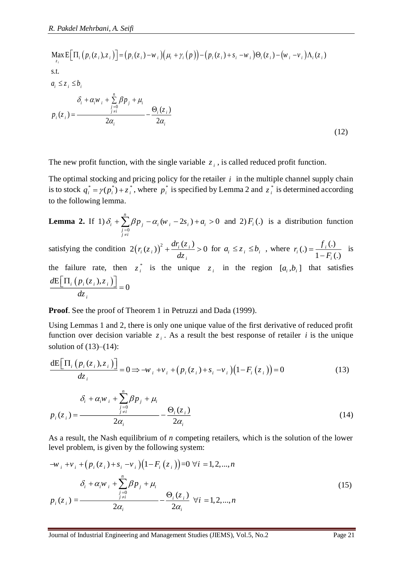*i*

R. *Pakdel Mehrbani*, A. *Seifi*  
\n
$$
\begin{aligned}\n\text{Max } \mathbf{E} \Big[ \Pi_i \big( p_i(z_i), z_i \big) \Big] &= \big( p_i(z_i) - w_i \big) \big( \mu_i + \gamma_i \big( p \big) \big) - \big( p_i(z_i) + s_i - w_i \big) \Theta_i(z_i) - \big( w_i - v_i \big) \Lambda_i(z_i) \\
\text{s.t.} \\
a_i \le z_i \le b_i \\
\delta_i + \alpha_i w_i + \sum_{\substack{j=0 \\ j \neq i}}^n \beta p_j + \mu_i \\
p_i(z_i) &= \frac{\Theta_i(z_i)}{2\alpha_i} - \frac{\Theta_i(z_i)}{2\alpha_i}\n\end{aligned}
$$
\n(12)

The new profit function, with the single variable  $z_i$ , is called reduced profit function.

The optimal stocking and pricing policy for the retailer  $i$  in the multiple channel supply chain is to stock  $q_i^* = \gamma(p_i^*) + z_i^*$ , where  $p_i^*$  is specified by Lemma 2 and  $z_i^*$  is determined according to the following lemma.

**Lemma 2.** If 1) 0  $\sum_{i=1}^{n} \beta p_i - \alpha_i (w_i - 2s_i) + a_i > 0$ *i*  $\angle$  *PP j j j i i*  $\delta_i + \sum_{\substack{j=0 \ j \neq i}} \beta p_j - \alpha_i (w_i - 2s_i) + a_i$  $+\sum \beta p_i - \alpha_i (w_i - 2s_i) + a_i > 0$  and 2)  $F_i(.)$  is a distribution function

satisfying the condition  $2(r_i(z_i))^2 + \frac{dr_i(z_i)}{l_i} > 0$ *i*  $f_i(z_i)$   $\Big)^2 + \frac{dr_i(z_i)}{dz_i} > 0$  for  $a_i \leq z_i \leq b_i$ , where  $r_i(.) = \frac{f_i(.)}{1 - F_i(s_i)}$  $1 - F_i(.)$ ; (.) =  $\frac{J_i}{1}$ *i*  $r_i(.) = \frac{f_i(}1 - F_i)$  is the failure rate, then  $z_i^*$  is the unique  $z_i$  in the region  $[a_i, b_i]$  that satisfies  $\frac{dE\left[\Pi_{i}\left(p_{i}\left(z_{i}\right),z_{i}\right)\right]}{I}=0$ *dz*  $\left[\Pi_i\left(p_i(z_i),z_i\right)\right] = 0$ 

**Proof**. See the proof of Theorem 1 in Petruzzi and Dada (1999).

 $\alpha_i$  *i*  $\alpha_i$ 

 $2\alpha$ 

Using Lemmas 1 and 2, there is only one unique value of the first derivative of reduced profit function over decision variable  $z_i$ . As a result the best response of retailer *i* is the unique solution of  $(13)–(14)$ :

$$
\frac{\mathrm{d}E\Big[\Pi_{i}\left(p_{i}\left(z_{i}\right),z_{i}\right)\Big]}{dz_{i}}=0 \Rightarrow -w_{i}+v_{i}+\left(p_{i}\left(z_{i}\right)+s_{i}-v_{i}\right)\left(1-F_{i}\left(z_{i}\right)\right)=0\tag{13}
$$
\n
$$
\delta_{i}+\alpha_{i}w_{i}+\sum_{\substack{j=0\\j\neq i}}^{n}\beta p_{j}+\mu_{i}
$$
\n
$$
p_{i}\left(z_{i}\right)=\frac{\Theta_{i}\left(z_{i}\right)}{z^{n}}\tag{14}
$$

As a result, the Nash equilibrium of *n* competing retailers, which is the solution of the lower level problem, is given by the following system:

$$
-w_{i} + v_{i} + (p_{i}(z_{i}) + s_{i} - v_{i})(1 - F_{i}(z_{i})) = 0 \ \forall i = 1, 2, ..., n
$$

$$
\delta_{i} + \alpha_{i}w_{i} + \sum_{\substack{j=0 \ j \neq i}}^{n} \beta p_{j} + \mu_{i}
$$

$$
p_{i}(z_{i}) = \frac{\Theta_{i}(z_{i})}{2\alpha_{i}} - \frac{\Theta_{i}(z_{i})}{2\alpha_{i}} \ \forall i = 1, 2, ..., n
$$
 (15)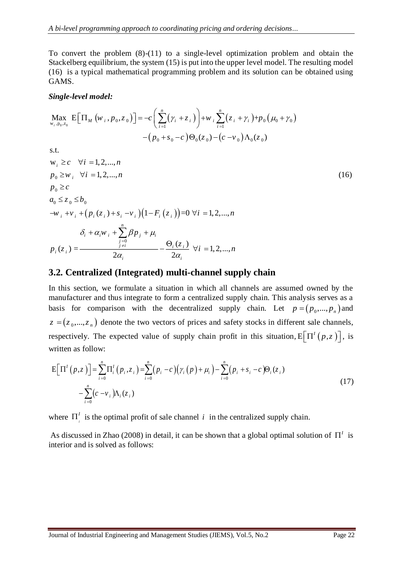To convert the problem (8)-(11) to a single-level optimization problem and obtain the Stackelberg equilibrium, the system (15) is put into the upper level model. The resulting model (16) is a typical mathematical programming problem and its solution can be obtained using GAMS.

#### *Single-level model:*

$$
\underset{\mathbf{w}_{i}, \mathbf{p}_{0}, \mathbf{z}_{0}}{\text{Max}} \mathbf{E} \Big[ \Pi_{M} \left( \mathbf{w}_{i}, p_{0}, z_{0} \right) \Big] = -c \Bigg( \sum_{i=1}^{n} \Big( \gamma_{i} + z_{i} \Big) \Bigg) + w_{i} \sum_{i=1}^{n} \Big( z_{i} + \gamma_{i} \Big) + p_{0} \Big( \mu_{0} + \gamma_{0} \Big) - \Big( p_{0} + s_{0} - c \Big) \Theta_{0} \Big( z_{0} \Big) - \Big( c - v_{0} \Big) \Lambda_{0} \Big( z_{0} \Big)
$$

$$
s.t.
$$

$$
w_{i} \geq c \quad \forall i = 1, 2, ..., n
$$
\n
$$
p_{0} \geq w_{i} \quad \forall i = 1, 2, ..., n
$$
\n
$$
p_{0} \geq c
$$
\n
$$
a_{0} \leq z_{0} \leq b_{0}
$$
\n
$$
-w_{i} + v_{i} + (p_{i}(z_{i}) + s_{i} - v_{i})(1 - F_{i}(z_{i})) = 0 \ \forall i = 1, 2, ..., n
$$
\n
$$
\delta_{i} + \alpha_{i}w_{i} + \sum_{\substack{j=0 \ j \neq i}}^{n} \beta p_{j} + \mu_{i}
$$
\n
$$
p_{i}(z_{i}) = \frac{\Theta_{i}(z_{i})}{2\alpha_{i}} \quad \forall i = 1, 2, ..., n
$$
\n(16)

## **3.2. Centralized (Integrated) multi-channel supply chain**

In this section, we formulate a situation in which all channels are assumed owned by the manufacturer and thus integrate to form a centralized supply chain. This analysis serves as a basis for comparison with the decentralized supply chain. Let  $p = (p_0, ..., p_n)$  and  $z = (z_0, ..., z_n)$  denote the two vectors of prices and safety stocks in different sale channels, respectively. The expected value of supply chain profit in this situation,  $E[\Pi^{I}(p,z)]$ , is written as follow:

$$
E\Big[\Pi^{I}(p,z)\Big] = \sum_{i=0}^{n} \Pi_{i}^{I}(p_{i},z_{i}) = \sum_{i=0}^{n} (p_{i} - c)(\gamma_{i}(p) + \mu_{i}) - \sum_{i=0}^{n} (p_{i} + s_{i} - c)\Theta_{i}(z_{i})
$$
  

$$
-\sum_{i=0}^{n} (c - v_{i})\Lambda_{i}(z_{i})
$$
 (17)

where  $\Pi_i^I$  is the optimal profit of sale channel *i* in the centralized supply chain.

As discussed in Zhao (2008) in detail, it can be shown that a global optimal solution of  $\Pi^I$  is interior and is solved as follows: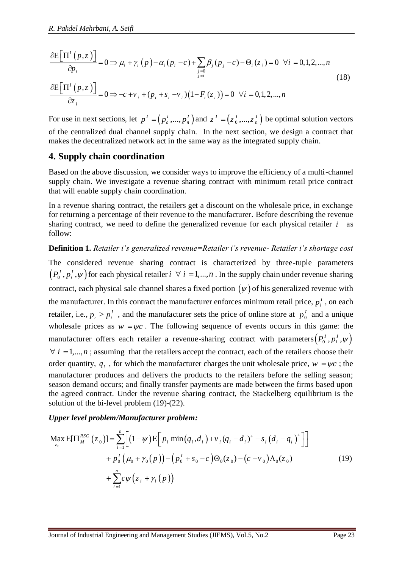R. Pakdel Mehrbani, A. Seifi  
\n
$$
\frac{\partial E[\Pi^l(p,z)]}{\partial p_i} = 0 \Rightarrow \mu_i + \gamma_i(p) - \alpha_i(p_i - c) + \sum_{\substack{j=0 \ j \neq i}} \beta_j(p_j - c) - \Theta_i(z_i) = 0 \quad \forall i = 0,1,2,...,n
$$
\n
$$
\frac{\partial E[\Pi^l(p,z)]}{\partial z_i} = 0 \Rightarrow -c + \nu_i + (p_i + s_i - \nu_i)(1 - F_i(z_i)) = 0 \quad \forall i = 0,1,2,...,n
$$
\n(18)

$$
\frac{\partial E\left[\Pi^{I}(p,z)\right]}{\partial p_{i}} = 0 \Rightarrow \mu_{i} + \gamma_{i}(p) - \alpha_{i}(p_{i} - c) + \sum_{\substack{j=0 \ j \neq i}} \beta_{j}(p_{j} - c) - \Theta_{i}(z_{i}) = 0 \quad \forall i = 0
$$
\n
$$
\frac{\partial E\left[\Pi^{I}(p,z)\right]}{\partial z_{i}} = 0 \Rightarrow -c + \nu_{i} + (p_{i} + s_{i} - \nu_{i})(1 - F_{i}(z_{i})) = 0 \quad \forall i = 0, 1, 2, ..., n
$$

For use in next sections, let  $p^I = (p_o^I, ..., p_n^I)$  and  $z^I = (z_o^I, ..., z_n^I)$  $z^{T} = (z_0^{T},...,z_n^{T})$  be optimal solution vectors of the centralized dual channel supply chain. In the next section, we design a contract that makes the decentralized network act in the same way as the integrated supply chain.

# **4. Supply chain coordination**

Based on the above discussion, we consider ways to improve the efficiency of a multi-channel supply chain. We investigate a revenue sharing contract with minimum retail price contract that will enable supply chain coordination.

In a revenue sharing contract, the retailers get a discount on the wholesale price, in exchange for returning a percentage of their revenue to the manufacturer. Before describing the revenue sharing contract, we need to define the generalized revenue for each physical retailer *i* as follow:

**Definition 1.** *Retailer i's generalized revenue=Retailer i's revenue- Retailer i's shortage cost*

The considered revenue sharing contract is characterized by three-tuple parameters  $(P_0^I, p_i^I, \psi)$  for each physical retailer  $i \forall i = 1,...,n$  . In the supply chain under revenue sharing contract, each physical sale channel shares a fixed portion  $(\psi)$  of his generalized revenue with the manufacturer. In this contract the manufacturer enforces minimum retail price,  $p_i^{\dagger}$ , on each retailer, i.e.,  $p_r \geq p_i^I$ , and the manufacturer sets the price of online store at  $p_o^I$  $p_0^I$  and a unique wholesale prices as  $w = \psi c$ . The following sequence of events occurs in this game: the manufacturer offers each retailer a revenue-sharing contract with parameters  $(P_0^I, p_i^I, \psi)$  $\forall i = 1,...,n$ ; assuming that the retailers accept the contract, each of the retailers choose their order quantity,  $q_i$ , for which the manufacturer charges the unit wholesale price,  $w = \psi c$ ; the manufacturer produces and delivers the products to the retailers before the selling season; season demand occurs; and finally transfer payments are made between the firms based upon the agreed contract. Under the revenue sharing contract, the Stackelberg equilibrium is the solution of the bi-level problem (19)-(22).

#### *Upper level problem/Manufacturer problem:*

Solution of the bi-level problem (19)-(22).  
\n*Upper level problem/Manufacturer problem:*  
\n
$$
\begin{aligned}\n\text{Max } E[\Pi_{M}^{RSC}(z_0)] &= \sum_{i=1}^{n} \Biggl[ (1-\psi) E\Big[ p_i \min(q_i, d_i) + v_i (q_i - d_i)^+ - s_i (d_i - q_i)^+ \Big] \Big] \\
&\quad + p_0^I \Big( \mu_0 + \gamma_0(p) \Big) - \Big( p_0^I + s_0 - c \Big) \Theta_0(z_0) - \Big( c - v_0 \Big) \Lambda_0(z_0) \\
&\quad + \sum_{i=1}^{n} c \psi \Big( z_i + \gamma_i(p) \Big)\n\end{aligned}
$$
\n(19)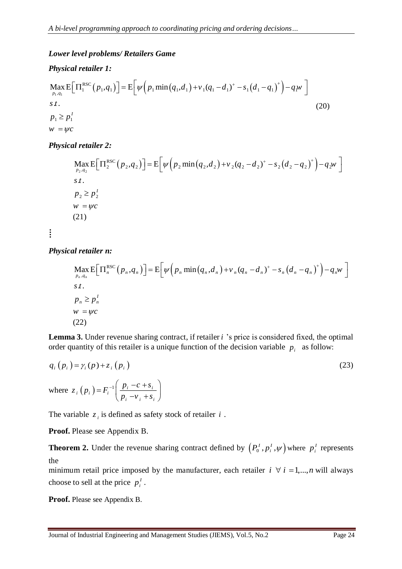### *Lower level problems/ Retailers Game*

## *Physical retailer 1:*

$$
\begin{aligned} \max_{p_1, q_1} E\Big[ \Pi_1^{\text{RSC}}(p_1, q_1) \Big] &= E\Big[ \psi\Big( p_1 \min\big( q_1, d_1 \big) + v_1 (q_1 - d_1)^+ - s_1 \big( d_1 - q_1 \big)^+ \Big) - q_1 w \Big] \\ s \, t. \\ p_1 &\ge p_1^I \\ w &= \psi c \end{aligned} \tag{20}
$$

## *Physical retailer 2:*

$$
\begin{aligned} &\text{Max } \mathbf{E} \Big[ \Pi_2^{\text{RSC}}(p_2, q_2) \Big] = \mathbf{E} \Big[ \psi \Big( p_2 \min \big( q_2, d_2 \big) + v_2 (q_2 - d_2)^+ - s_2 \big( d_2 - q_2 \big)^+ \Big) - q_2 w \Big] \\ &s \, \mathbf{I} \, . \\ &\text{where} \\ &\text{with } p_2 \ge p_2^I \\ & w = \psi c \\ &(21) \end{aligned}
$$

*Physical retailer n:*

 $\vdots$ 

$$
\begin{aligned} &\text{Max}\,\mathbf{E}\Big[\Pi_n^{\text{RSC}}\big(p_n, q_n\big)\Big] = \mathbf{E}\Big[\psi\Big(p_n \min\big(q_n, d_n\big) + v_n(q_n - d_n)^+ - s_n\big(d_n - q_n\big)^+\Big) - q_n w \Big] \\ &s.t. \\ &\text{if } p_n \ge p_n^I \\ & w = \psi c \\ &(22) \end{aligned}
$$

Lemma 3. Under revenue sharing contract, if retailer *i* 's price is considered fixed, the optimal order quantity of this retailer is a unique function of the decision variable  $p_i$  as follow:

$$
q_i(p_i) = \gamma_i(p) + z_i(p_i)
$$
  
\nwhere  $z_i(p_i) = F_i^{-1} \left( \frac{p_i - c + s_i}{p_i - v_i + s_i} \right)$  (23)

The variable  $z_i$  is defined as safety stock of retailer i.

**Proof.** Please see Appendix B.

**Theorem 2.** Under the revenue sharing contract defined by  $(P_0^I, p_i^I, \psi)$  where  $p_i^I$  represents the

minimum retail price imposed by the manufacturer, each retailer  $i \forall i = 1,...,n$  will always choose to sell at the price  $p_i^I$ .

**Proof.** Please see Appendix B.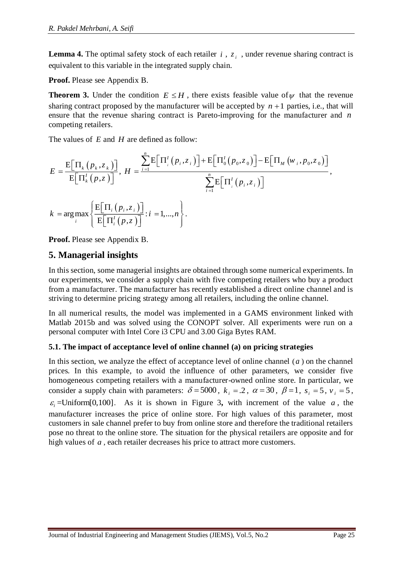**Lemma 4.** The optimal safety stock of each retailer  $i$ ,  $z_i$ , under revenue sharing contract is equivalent to this variable in the integrated supply chain.

**Proof.** Please see Appendix B.

**Theorem 3.** Under the condition  $E \leq H$ , there exists feasible value of  $\psi$  that the revenue sharing contract proposed by the manufacturer will be accepted by  $n+1$  parties, i.e., that will ensure that the revenue sharing contract is Pareto-improving for the manufacturer and *n* competing retailers.

The values of E and H are defined as follow:

$$
E = \frac{E[\Pi_k(p_k, z_k)]}{E[\Pi'_k(p, z)]}, H = \frac{\sum_{i=1}^n E[\Pi'_i(p_i, z_i)] + E[\Pi'_0(p_0, z_0)] - E[\Pi_M(w_i, p_0, z_0)]}{\sum_{i=1}^n E[\Pi'_i(p_i, z_i)]},
$$
  
\n
$$
k = \arg \max_i \left\{ \frac{E[\Pi_i(p_i, z_i)]}{E[\Pi'_i(p, z)]}; i = 1, ..., n \right\}.
$$

**Proof.** Please see Appendix B.

# **5. Managerial insights**

In this section, some managerial insights are obtained through some numerical experiments. In our experiments, we consider a supply chain with five competing retailers who buy a product from a manufacturer. The manufacturer has recently established a direct online channel and is striving to determine pricing strategy among all retailers, including the online channel.

In all numerical results, the model was implemented in a GAMS environment linked with Matlab 2015b and was solved using the CONOPT solver. All experiments were run on a personal computer with Intel Core i3 CPU and 3.00 Giga Bytes RAM.

## **5.1. The impact of acceptance level of online channel (a) on pricing strategies**

In this section, we analyze the effect of acceptance level of online channel  $(a)$  on the channel prices. In this example, to avoid the influence of other parameters, we consider five homogeneous competing retailers with a manufacturer-owned online store. In particular, we consider a supply chain with parameters:  $\delta = 5000$ ,  $k_i = 0.2$ ,  $\alpha = 30$ ,  $\beta = 1$ ,  $s_i = 5$ ,  $v_i = 5$ ,  $\varepsilon_i$ =Uniform[0,100]. As it is shown in [Figure 3](#page-13-0), with increment of the value a, the manufacturer increases the price of online store. For high values of this parameter, most customers in sale channel prefer to buy from online store and therefore the traditional retailers pose no threat to the online store. The situation for the physical retailers are opposite and for high values of *<sup>a</sup>* , each retailer decreases his price to attract more customers.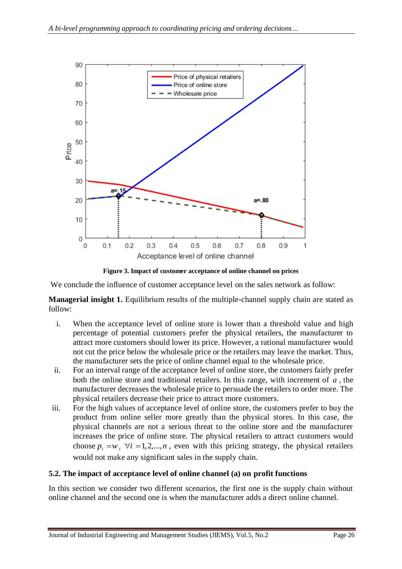

**Figure 3. Impact of customer acceptance of online channel on prices**

<span id="page-13-0"></span>We conclude the influence of customer acceptance level on the sales network as follow:

**Managerial insight 1.** Equilibrium results of the multiple-channel supply chain are stated as follow:

- i. When the acceptance level of online store is lower than a threshold value and high percentage of potential customers prefer the physical retailers, the manufacturer to attract more customers should lower its price. However, a rational manufacturer would not cut the price below the wholesale price or the retailers may leave the market. Thus, the manufacturer sets the price of online channel equal to the wholesale price.
- ii. For an interval range of the acceptance level of online store, the customers fairly prefer both the online store and traditional retailers. In this range, with increment of *a* , the manufacturer decreases the wholesale price to persuade the retailers to order more. The physical retailers decrease their price to attract more customers.
- iii. For the high values of acceptance level of online store, the customers prefer to buy the product from online seller more greatly than the physical stores. In this case, the physical channels are not a serious threat to the online store and the manufacturer increases the price of online store. The physical retailers to attract customers would choose  $p_i = w_i$   $\forall i = 1, 2, ..., n$ , even with this pricing strategy, the physical retailers would not make any significant sales in the supply chain.

#### **5.2. The impact of acceptance level of online channel (a) on profit functions**

In this section we consider two different scenarios, the first one is the supply chain without online channel and the second one is when the manufacturer adds a direct online channel.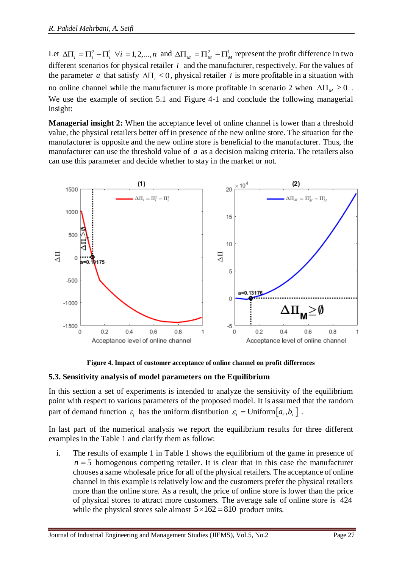Let  $\Delta\Pi_i = \Pi_i^2 - \Pi_i^1 \ \forall i = 1, 2, ..., n$  and  $\Delta\Pi_M = \Pi_M^2 - \Pi_M^1$  represent the profit difference in two different scenarios for physical retailer *i* and the manufacturer, respectively. For the values of the parameter *a* that satisfy  $\Delta \Pi_i \leq 0$ , physical retailer *i* is more profitable in a situation with no online channel while the manufacturer is more profitable in scenario 2 when  $\Delta \Pi_M \geq 0$ . We use the example of section 5.1 and [Figure 4-](#page-14-0)1 and conclude the following managerial insight:

**Managerial insight 2:** When the acceptance level of online channel is lower than a threshold value, the physical retailers better off in presence of the new online store. The situation for the manufacturer is opposite and the new online store is beneficial to the manufacturer. Thus, the manufacturer can use the threshold value of a as a decision making criteria. The retailers also can use this parameter and decide whether to stay in the market or not.



**Figure 4. Impact of customer acceptance of online channel on profit differences**

#### <span id="page-14-0"></span>**5.3. Sensitivity analysis of model parameters on the Equilibrium**

In this section a set of experiments is intended to analyze the sensitivity of the equilibrium point with respect to various parameters of the proposed model. It is assumed that the random part of demand function  $\varepsilon_i$  has the uniform distribution  $\varepsilon_i = \text{Uniform}[a_i, b_i]$ .

In last part of the numerical analysis we report the equilibrium results for three different examples in the [Table 1](#page-15-0) and clarify them as follow:

i. The results of example 1 in [Table 1](#page-15-0) shows the equilibrium of the game in presence of  $n = 5$  homogenous competing retailer. It is clear that in this case the manufacturer chooses a same wholesale price for all of the physical retailers. The acceptance of online channel in this example is relatively low and the customers prefer the physical retailers more than the online store. As a result, the price of online store is lower than the price of physical stores to attract more customers. The average sale of online store is 424 while the physical stores sale almost  $5 \times 162 = 810$  product units.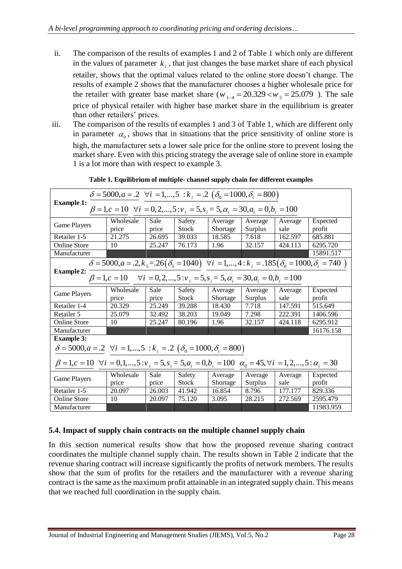- ii. The comparison of the results of examples 1 and 2 of [Table 1](#page-15-0) which only are different in the values of parameter  $k_i$ , that just changes the base market share of each physical retailer, shows that the optimal values related to the online store doesn't change. The results of example 2 shows that the manufacturer chooses a higher wholesale price for the retailer with greater base market share ( $w_{1-4} = 20.329 \lt w_5 = 25.079$ ). The sale price of physical retailer with higher base market share in the equilibrium is greater than other retailers' prices.
- iii. The comparison of the results of examples 1 and 3 of [Table 1,](#page-15-0) which are different only in parameter  $\alpha_0$ , shows that in situations that the price sensitivity of online store is high, the manufacturer sets a lower sale price for the online store to prevent losing the market share. Even with this pricing strategy the average sale of online store in example 1 is a lot more than with respect to example 3.

<span id="page-15-0"></span>

| Table 1. Equilibrium of multiple-channel supply chain for different examples                                                                                                         |                    |               |                        |                     |                    |                 |                    |
|--------------------------------------------------------------------------------------------------------------------------------------------------------------------------------------|--------------------|---------------|------------------------|---------------------|--------------------|-----------------|--------------------|
| $\delta = 5000, a = .2 \ \forall i = 1,,5 : k_i = .2 \ (\delta_0 = 1000, \delta_i = 800)$                                                                                            |                    |               |                        |                     |                    |                 |                    |
| <b>Example 1:</b><br>$\beta = 1, c = 10 \ \forall i = 0, 2, , 5 : v_i = 5, s_i = 5, \alpha_i = 30, a_i = 0, b_i = 100$                                                               |                    |               |                        |                     |                    |                 |                    |
| Game Players                                                                                                                                                                         | Wholesale<br>price | Sale<br>price | Safety<br>Stock        | Average<br>Shortage | Average<br>Surplus | Average<br>sale | Expected<br>profit |
| Retailer 1-5                                                                                                                                                                         | 21.275             | 26.695        | 39.033                 | 18.585              | 7.618              | 162.597         | 685.881            |
| <b>Online Store</b>                                                                                                                                                                  | 10                 | 25.247        | 76.173                 | 1.96                | 32.157             | 424.113         | 6295.720           |
| Manufacturer                                                                                                                                                                         |                    |               |                        |                     |                    |                 | 15891.517          |
| $\delta$ = 5000, a = .2, k <sub>5</sub> = .26( $\delta$ <sub>5</sub> = 1040) $\forall i$ = 1,, 4 : k <sub>i</sub> = .185( $\delta$ <sub>0</sub> = 1000, $\delta$ <sub>i</sub> = 740) |                    |               |                        |                     |                    |                 |                    |
| <b>Example 2:</b><br>$\beta = 1, c = 10$ $\forall i = 0, 2, , 5 : v_i = 5, s_i = 5, \alpha_i = 30, a_i = 0, b_i = 100$                                                               |                    |               |                        |                     |                    |                 |                    |
| <b>Game Players</b>                                                                                                                                                                  | Wholesale<br>price | Sale<br>price | Safety<br><b>Stock</b> | Average<br>Shortage | Average<br>Surplus | Average<br>sale | Expected<br>profit |
| Retailer 1-4                                                                                                                                                                         | 20.329             | 25.249        | 39.288                 | 18.430              | 7.718              | 147.591         | 515.649            |
| Retailer 5                                                                                                                                                                           | 25.079             | 32.492        | 38.203                 | 19.049              | 7.298              | 222.391         | 1406.596           |
| <b>Online Store</b>                                                                                                                                                                  | 10                 | 25.247        | 80.196                 | 1.96                | 32.157             | 424.118         | 6295.912           |
| Manufacturer                                                                                                                                                                         |                    |               |                        |                     |                    |                 | 16176.158          |
| <b>Example 3:</b>                                                                                                                                                                    |                    |               |                        |                     |                    |                 |                    |
| $\delta = 5000, a = .2 \ \forall i = 1,,5 : k_i = .2 \ (\delta_0 = 1000, \delta_i = 800)$                                                                                            |                    |               |                        |                     |                    |                 |                    |
| $\beta = 1, c = 10 \ \forall i = 0, 1, , 5 : v_i = 5, s_i = 5, a_i = 0, b_i = 100 \ \alpha_0 = 45, \forall i = 1, 2, , 5 : \alpha_i = 30$                                            |                    |               |                        |                     |                    |                 |                    |
| <b>Game Players</b>                                                                                                                                                                  | Wholesale<br>price | Sale<br>price | Safety<br>Stock        | Average<br>Shortage | Average<br>Surplus | Average<br>sale | Expected<br>profit |
| Retailer 1-5                                                                                                                                                                         | 20.097             | 26.003        | 41.942                 | 16.854              | 8.796              | 177.177         | 829.336            |
| <b>Online Store</b>                                                                                                                                                                  | 10                 | 20.097        | 75.120                 | 3.095               | 28.215             | 272.569         | 2595.479           |
| Manufacturer                                                                                                                                                                         |                    |               |                        |                     |                    |                 | 11983.959          |

**Table 1. Equilibrium of multiple- channel supply chain for different examples**

## **5.4. Impact of supply chain contracts on the multiple channel supply chain**

In this section numerical results show that how the proposed revenue sharing contract coordinates the multiple channel supply chain. The results shown in [Table 2](#page-16-0) indicate that the revenue sharing contract will increase significantly the profits of network members. The results show that the sum of profits for the retailers and the manufacturer with a revenue sharing contract is the same as the maximum profit attainable in an integrated supply chain. This means that we reached full coordination in the supply chain.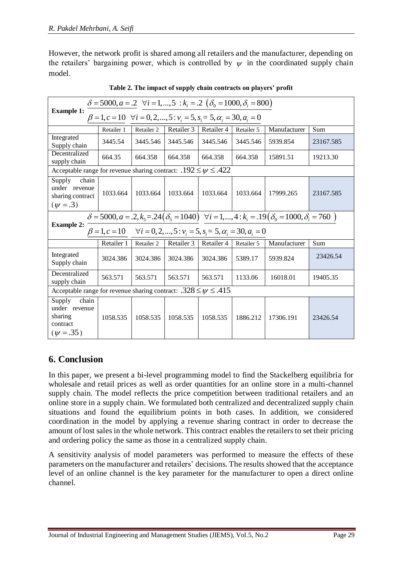However, the network profit is shared among all retailers and the manufacturer, depending on the retailers' bargaining power, which is controlled by  $\psi$  in the coordinated supply chain model.

<span id="page-16-0"></span>

| $\delta = 5000, a = .2 \ \ \forall i = 1,,5 \ : k_i = .2 \ (\delta_0 = 1000, \delta_i = 800)$                               |            |            |            |            |            |              |           |
|-----------------------------------------------------------------------------------------------------------------------------|------------|------------|------------|------------|------------|--------------|-----------|
| <b>Example 1:</b><br>$\beta = 1, c = 10 \quad \forall i = 0, 2, , 5 : v_i = 5, s_i = 5, \alpha_i = 30, a_i = 0$             |            |            |            |            |            |              |           |
|                                                                                                                             | Retailer 1 | Retailer 2 | Retailer 3 | Retailer 4 | Retailer 5 | Manufacturer | Sum       |
| Integrated<br>Supply chain                                                                                                  | 3445.54    | 3445.546   | 3445.546   | 3445.546   | 3445.546   | 5939.854     | 23167.585 |
| Decentralized<br>supply chain                                                                                               | 664.35     | 664.358    | 664.358    | 664.358    | 664.358    | 15891.51     | 19213.30  |
| Acceptable range for revenue sharing contract: $.192 \le \psi \le .422$                                                     |            |            |            |            |            |              |           |
| chain<br>Supply<br>under revenue<br>sharing contract<br>$(\psi = .3)$                                                       | 1033.664   | 1033.664   | 1033.664   | 1033.664   | 1033.664   | 17999.265    | 23167.585 |
| $\delta = 5000, a = .2, k_5 = .24(\delta_5 = 1040) \quad \forall i = 1, , 4$ : $k_i = .19(\delta_0 = 1000, \delta_i = 760)$ |            |            |            |            |            |              |           |
| <b>Example 2:</b><br>$\beta = 1, c = 10$ $\forall i = 0, 2, , 5 : v_i = 5, s_i = 5, \alpha_i = 30, a_i = 0$                 |            |            |            |            |            |              |           |
|                                                                                                                             | Retailer 1 | Retailer 2 | Retailer 3 | Retailer 4 | Retailer 5 | Manufacturer | Sum       |
| Integrated<br>Supply chain                                                                                                  | 3024.386   | 3024.386   | 3024.386   | 3024.386   | 5389.17    | 5939.824     | 23426.54  |
| Decentralized<br>supply chain                                                                                               | 563.571    | 563.571    | 563.571    | 563.571    | 1133.06    | 16018.01     | 19405.35  |
| Acceptable range for revenue sharing contract: $.328 \le \psi \le .415$                                                     |            |            |            |            |            |              |           |
| Supply<br>chain<br>under revenue<br>sharing<br>contract<br>$(\psi = .35)$                                                   | 1058.535   | 1058.535   | 1058.535   | 1058.535   | 1886.212   | 17306.191    | 23426.54  |

| Table 2. The impact of supply chain contracts on players' profit |  |  |
|------------------------------------------------------------------|--|--|
|------------------------------------------------------------------|--|--|

# **6. Conclusion**

In this paper, we present a bi-level programming model to find the Stackelberg equilibria for wholesale and retail prices as well as order quantities for an online store in a multi-channel supply chain. The model reflects the price competition between traditional retailers and an online store in a supply chain. We formulated both centralized and decentralized supply chain situations and found the equilibrium points in both cases. In addition, we considered coordination in the model by applying a revenue sharing contract in order to decrease the amount of lost sales in the whole network. This contract enables the retailers to set their pricing and ordering policy the same as those in a centralized supply chain.

A sensitivity analysis of model parameters was performed to measure the effects of these parameters on the manufacturer and retailers' decisions. The results showed that the acceptance level of an online channel is the key parameter for the manufacturer to open a direct online channel.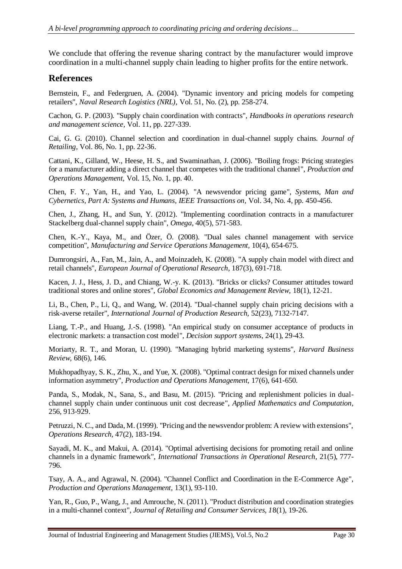We conclude that offering the revenue sharing contract by the manufacturer would improve coordination in a multi-channel supply chain leading to higher profits for the entire network.

## **References**

Bernstein, F., and Federgruen, A. (2004). "Dynamic inventory and pricing models for competing retailers", *Naval Research Logistics (NRL),* Vol. 51, No. (2), pp. 258-274.

Cachon, G. P. (2003). "Supply chain coordination with contracts", *Handbooks in operations research and management science,* Vol. 11, pp. 227-339.

Cai, G. G. (2010). Channel selection and coordination in dual-channel supply chains. *Journal of Retailing,* Vol. 86, No. 1, pp. 22-36.

Cattani, K., Gilland, W., Heese, H. S., and Swaminathan, J. (2006). "Boiling frogs: Pricing strategies for a manufacturer adding a direct channel that competes with the traditional channel", *Production and Operations Management,* Vol. 15, No. 1, pp. 40.

Chen, F. Y., Yan, H., and Yao, L. (2004). "A newsvendor pricing game", *Systems, Man and Cybernetics, Part A: Systems and Humans, IEEE Transactions on,* Vol. 34, No. 4, pp. 450-456.

Chen, J., Zhang, H., and Sun, Y. (2012). "Implementing coordination contracts in a manufacturer Stackelberg dual-channel supply chain", *Omega,* 40(5), 571-583.

Chen, K.-Y., Kaya, M., and Özer, Ö. (2008). "Dual sales channel management with service competition", *Manufacturing and Service Operations Management,* 10(4), 654-675.

Dumrongsiri, A., Fan, M., Jain, A., and Moinzadeh, K. (2008). "A supply chain model with direct and retail channels", *European Journal of Operational Research,* 187(3), 691-718.

Kacen, J. J., Hess, J. D., and Chiang, W.-y. K. (2013). "Bricks or clicks? Consumer attitudes toward traditional stores and online stores", *Global Economics and Management Review,* 18(1), 12-21.

Li, B., Chen, P., Li, Q., and Wang, W. (2014). "Dual-channel supply chain pricing decisions with a risk-averse retailer", *International Journal of Production Research,* 52(23), 7132-7147.

Liang, T.-P., and Huang, J.-S. (1998). "An empirical study on consumer acceptance of products in electronic markets: a transaction cost model", *Decision support systems,* 24(1), 29-43.

Moriarty, R. T., and Moran, U. (1990). "Managing hybrid marketing systems", *Harvard Business Review,* 68(6), 146.

Mukhopadhyay, S. K., Zhu, X., and Yue, X. (2008). "Optimal contract design for mixed channels under information asymmetry", *Production and Operations Management,* 17(6), 641-650.

Panda, S., Modak, N., Sana, S., and Basu, M. (2015). "Pricing and replenishment policies in dualchannel supply chain under continuous unit cost decrease", *Applied Mathematics and Computation,* 256, 913-929.

Petruzzi, N. C., and Dada, M. (1999). "Pricing and the newsvendor problem: A review with extensions", *Operations Research,* 47(2), 183-194.

Sayadi, M. K., and Makui, A. (2014). "Optimal advertising decisions for promoting retail and online channels in a dynamic framework", *International Transactions in Operational Research,* 21(5), 777- 796.

Tsay, A. A., and Agrawal, N. (2004). "Channel Conflict and Coordination in the E‐Commerce Age", *Production and Operations Management,* 13(1), 93-110.

Yan, R., Guo, P., Wang, J., and Amrouche, N. (2011). "Product distribution and coordination strategies in a multi-channel context", *Journal of Retailing and Consumer Services, 1*8(1), 19-26.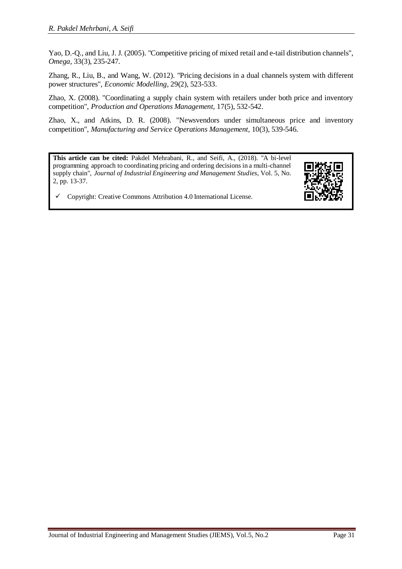Yao, D.-Q., and Liu, J. J. (2005). "Competitive pricing of mixed retail and e-tail distribution channels", *Omega,* 33(3), 235-247.

Zhang, R., Liu, B., and Wang, W. (2012). "Pricing decisions in a dual channels system with different power structures", *Economic Modelling,* 29(2), 523-533.

Zhao, X. (2008). "Coordinating a supply chain system with retailers under both price and inventory competition", *Production and Operations Management,* 17(5), 532-542.

Zhao, X., and Atkins, D. R. (2008). "Newsvendors under simultaneous price and inventory competition", *Manufacturing and Service Operations Management,* 10(3), 539-546.

**This article can be cited:** Pakdel Mehrabani, R., and Seifi, A., (2018). "A bi-level programming approach to coordinating pricing and ordering decisions in a multi-channel supply chain", *Journal of Industrial Engineering and Management Studies*, Vol. 5, No. 2, pp. 13-37.

Copyright: Creative Commons Attribution 4.0 International License.

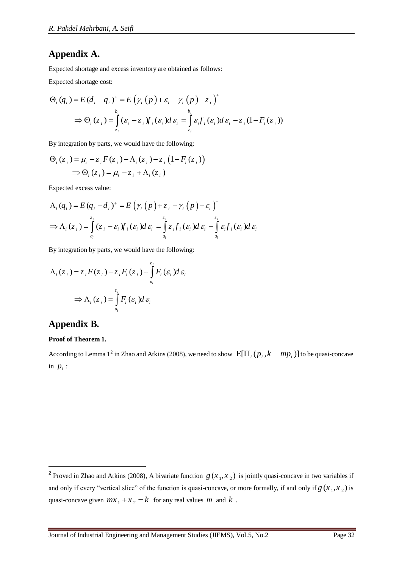## **Appendix A.**

Expected shortage and excess inventory are obtained as follows:

Expected shortage cost:

Expected shortage cost:  
\n
$$
\Theta_i(q_i) = E (d_i - q_i)^+ = E (\gamma_i (p) + \varepsilon_i - \gamma_i (p) - z_i)^+
$$
\n
$$
\Rightarrow \Theta_i(z_i) = \int_{z_i}^{b_i} (\varepsilon_i - z_i) f_i(\varepsilon_i) d\varepsilon_i = \int_{z_i}^{b_i} \varepsilon_i f_i(\varepsilon_i) d\varepsilon_i - z_i (1 - F_i(z_i))
$$

By integration by parts, we would have the following:

$$
\Theta_i(z_i) = \mu_i - z_i F(z_i) - \Lambda_i(z_i) - z_i (1 - F_i(z_i))
$$
  
\n
$$
\Rightarrow \Theta_i(z_i) = \mu_i - z_i + \Lambda_i(z_i)
$$

Expected excess value:

$$
\Lambda_{i}(q_{i}) = E(q_{i} - d_{i})^{+} = E(\gamma_{i}(p) + z_{i} - \gamma_{i}(p) - \varepsilon_{i})^{+}
$$
  
\n
$$
\Rightarrow \Lambda_{i}(z_{i}) = \int_{a_{i}}^{z_{i}} (z_{i} - \varepsilon_{i}) f_{i}(z_{i}) d\varepsilon_{i} = \int_{a_{i}}^{z_{i}} z_{i} f_{i}(z_{i}) d\varepsilon_{i} - \int_{a_{i}}^{z_{i}} \varepsilon_{i} f_{i}(z_{i}) d\varepsilon_{i}
$$

By integration by parts, we would have the following:

$$
\Lambda_i(z_i) = z_i F(z_i) - z_i F_i(z_i) + \int_{a_i}^{z_i} F_i(\varepsilon_i) d\varepsilon_i
$$
  
\n
$$
\Rightarrow \Lambda_i(z_i) = \int_{a_i}^{z_i} F_i(\varepsilon_i) d\varepsilon_i
$$

## **Appendix B.**

1

#### **Proof of Theorem 1.**

According to Lemma 1<sup>2</sup> in Zhao and Atkins (2008), we need to show  $E[\Pi_i(p_i, k - mp_i)]$  to be quasi-concave in  $p_i$  :

<sup>&</sup>lt;sup>2</sup> Proved in Zhao and Atkins (2008), A bivariate function  $g(x_1, x_2)$  is jointly quasi-concave in two variables if and only if every "vertical slice" of the function is quasi-concave, or more formally, if and only if  $g(x_1, x_2)$  is quasi-concave given  $mx_1 + x_2 = k$  for any real values m and k.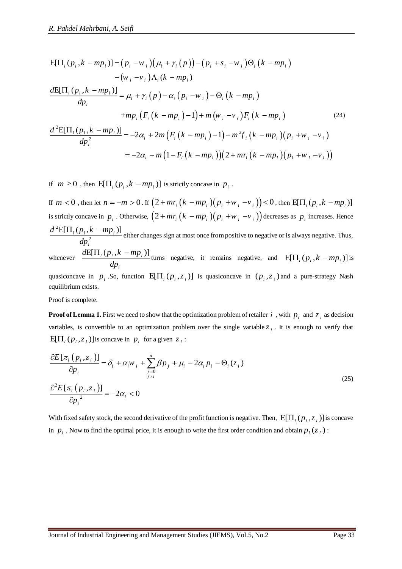R. Pakedel Mehrbani, A. Seifi  
\n
$$
E[\Pi_i (p_i, k - mp_i)] = (p_i - w_i) (\mu_i + \gamma_i (p)) - (p_i + s_i - w_i) \Theta_i (k - mp_i)
$$
\n
$$
- (w_i - v_i) \Lambda_i (k - mp_i)
$$
\n
$$
\frac{dE[\Pi_i (p_i, k - mp_i)]}{dp_i} = \mu_i + \gamma_i (p) - \alpha_i (p_i - w_i) - \Theta_i (k - mp_i)
$$
\n
$$
+ mp_i (F_i (k - mp_i) - 1) + m (w_i - v_i) F_i (k - mp_i)
$$
\n
$$
\frac{d^2E[\Pi_i (p_i, k - mp_i)]}{dp_i^2} = -2\alpha_i + 2m (F_i (k - mp_i) - 1) - m^2 f_i (k - mp_i) (p_i + w_i - v_i)
$$
\n
$$
= -2\alpha_i - m (1 - F_i (k - mp_i)) (2 + mr_i (k - mp_i) (p_i + w_i - v_i))
$$

If  $m \geq 0$ , then  $E[\Pi_i(p_i, k - mp_i)]$  is strictly concave in  $p_i$ .

If  $m < 0$  , then let  $n = -m > 0$  . If  $\left(2 + m r_i\left(k - mp_i\right)\! \left(p_i + \! w_i -\! v_i\right)\right) < 0$  , then  ${\rm E}[\Pi_i(p_i, k - mp_i)]$ is strictly concave in  $p_i$ . Otherwise,  $(2 + mr_i (k - mp_i)(p_i + w_i - v_i))$  decreases as  $p_i$  increases. Hence 2  $\frac{E[\Pi_i(p_i, k - mp_i)]}{d\sigma^2}$ *i*  $d^2E[\Pi_i(p_i,k - mp)]$ *dp*  $\frac{\prod_i (p_i, k - mp_i)}{k}$  either changes sign at most once from positive to negative or is always negative. Thus, whenever  $\frac{dE[\Pi_i(p_i, k - mp_i)]}{dt}$ *i dp*  $\frac{\prod_i (p_i, k - mp_i)}{n}$  turns negative, it remains negative, and  $E[\Pi_i (p_i, k - mp_i)]$  is

quasiconcave in  $p_i$ . So, function  $E[\Pi_i(p_i, z_i)]$  is quasiconcave in  $(p_i, z_i)$  and a pure-strategy Nash equilibrium exists.

Proof is complete.

**Proof of Lemma 1.** First we need to show that the optimization problem of retailer i, with  $p_i$  and  $z_i$  as decision variables, is convertible to an optimization problem over the single variable  $z_i$ . It is enough to verify that  $E[\Pi_i(p_i, z_i)]$  is concave in  $p_i$  for a given  $z_i$ :

$$
\frac{\partial E[\pi_i(p_i, z_i)]}{\partial p_i} = \delta_i + \alpha_i w_i + \sum_{\substack{j=0 \ j \neq i}}^n \beta p_j + \mu_i - 2\alpha_i p_i - \Theta_i(z_i)
$$
\n
$$
\frac{\partial^2 E[\pi_i(p_i, z_i)]}{\partial p_i^2} = -2\alpha_i < 0
$$
\n(25)

With fixed safety stock, the second derivative of the profit function is negative. Then,  $E[\Pi_i(p_i, z_i)]$  is concave in  $p_i$ . Now to find the optimal price, it is enough to write the first order condition and obtain  $p_i(z_i)$ :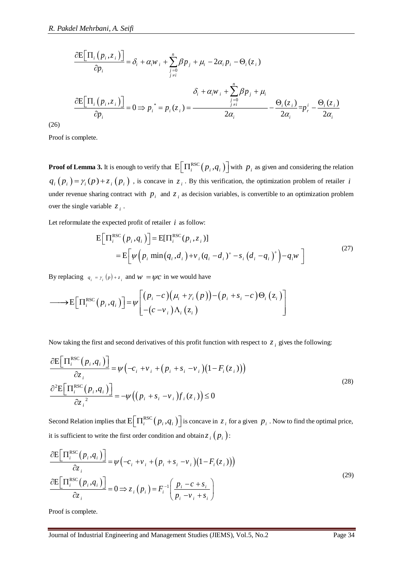$$
\frac{\partial E[\Pi_i(p_i, z_i)]}{\partial p_i} = \delta_i + \alpha_i w_i + \sum_{\substack{j=0 \ j \neq i}}^n \beta p_j + \mu_i - 2\alpha_i p_i - \Theta_i(z_i)
$$
\n
$$
\frac{\partial E[\Pi_i(p_i, z_i)]}{\partial p_i} = 0 \Rightarrow p_i^* = p_i(z_i) = \frac{\delta_i + \alpha_i w_i + \sum_{\substack{j=0 \ j \neq i}}^n \beta p_j + \mu_i}{2\alpha_i} - \frac{\Theta_i(z_i)}{2\alpha_i} = p_i^* - \frac{\Theta_i(z_i)}{2\alpha_i}
$$

(26)

Proof is complete.

**Proof of Lemma 3.** It is enough to verify that  $\mathbb{E}\left[\Pi_i^{\text{RSC}}(p_i, q_i)\right]$  with  $p_i$  as given and considering the relation  $q_i(p_i) = \gamma_i(p) + z_i(p_i)$ , is concave in  $z_i$ . By this verification, the optimization problem of retailer *i* under revenue sharing contract with  $p_i$  and  $z_i$  as decision variables, is convertible to an optimization problem over the single variable  $z_i$ .

Let reformulate the expected profit of retailer  $i$  as follow:

multate the expected profit of retailer *i* as follow:

\n
$$
E\Big[\Pi_i^{\text{RSC}}(p_i, q_i)\Big] = E[\Pi_i^{\text{RSC}}(p_i, z_i)]
$$
\n
$$
= E\Big[\psi\Big(p_i \min(q_i, d_i\Big) + v_i (q_i - d_i)^+ - s_i (d_i - q_i)^+\Big) - q_i w\Big]
$$
\n(27)

By replacing  $q_i = r_i(p) + z_i$  and  $w = \psi c$  in we would have

 RSC z z E , *i i i i i i i i i i i i i c p c c v p p s p q* 

Now taking the first and second derivatives of this profit function with respect to  $z_i$  gives the following:

$$
\frac{\partial E\left[\Pi_i^{\text{RSC}}(p_i, q_i)\right]}{\partial z_i} = \psi\left(-c_i + v_i + (p_i + s_i - v_i)\left(1 - F_i(z_i)\right)\right)
$$
\n
$$
\frac{\partial^2 E\left[\Pi_i^{\text{RSC}}(p_i, q_i)\right]}{\partial z_i^2} = -\psi\left((p_i + s_i - v_i)f_i(z_i)\right) \le 0
$$
\n(28)

Second Relation implies that  $E\left[\prod_i^{RSC}(p_i, q_i)\right]$  is concave in  $z_i$  for a given  $p_i$ . Now to find the optimal price, it is sufficient to write the first order condition and obtain  $z_i(p_i)$ :

$$
\frac{\partial \mathbb{E}\Big[\Pi_i^{\text{RSC}}(p_i, q_i)\Big]}{\partial z_i} = \psi\Big(-c_i + v_i + \Big(p_i + s_i - v_i\Big)\Big(1 - F_i(z_i)\Big)\Big)
$$
\n
$$
\frac{\partial \mathbb{E}\Big[\Pi_i^{\text{RSC}}(p_i, q_i)\Big]}{\partial z_i} = 0 \Rightarrow z_i\Big(p_i\Big) = F_i^{-1}\Big(\frac{p_i - c + s_i}{p_i - v_i + s_i}\Big)
$$
\n(29)

Proof is complete.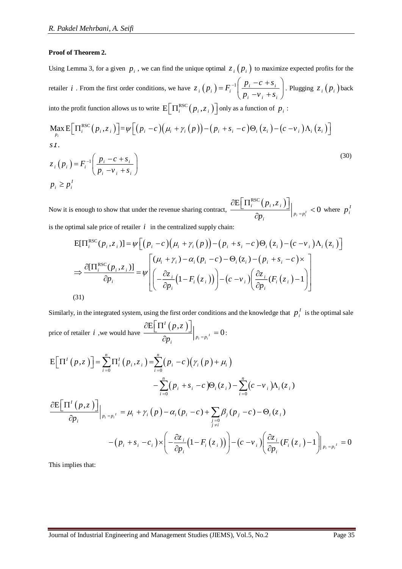#### **Proof of Theorem 2.**

Using Lemma 3, for a given  $p_i$ , we can find the unique optimal  $z_i(p_i)$  to maximize expected profits for the retailer *i*. From the first order conditions, we have  $z_i(p_i) = F_i^{-1} \frac{p_i - e^{-p_i}}{r_i}$ *i i i*  $z_i(p_i) = F_i^{-1} \frac{p_i - c + s}{r_i}$  $p_i - v_i + s$  $= F_i^{-1} \left( \frac{p_i - c + s_i}{p_i - v_i + s_i} \right)$ . Plugging  $z_i(p_i)$  back into the profit function allows us to write  $\mathbb{E}\left[\Pi_i^{\text{RSC}}(p_i, z_i)\right]$  only as a function of  $p_i$ :  $\binom{p_i - v_i + s_i}{p_i - v_i + s_i}$ <br> **i**  $\binom{p_i - v_i + s_i}{p_i - v_i + s_i}$ <br> **i**  $\binom{p_i - v_i + s_i}{p_i - v_i + s_i}$ <br> **i**  $\binom{p_i - v_i + s_i}{p_i - v_i + s_i}$ <br> **i**  $\binom{p_i - v_i + s_i}{p_i - v_i + s_i}$ 

$$
\max_{p_i} \mathbb{E} \Big[ \Pi_i^{\text{RSC}}(p_i, z_i) \Big] = \psi \Big[ (p_i - c) \big( \mu_i + \gamma_i(p) \big) - (p_i + s_i - c) \Theta_i (z_i) - (c - v_i) \Lambda_i (z_i) \Big]
$$
\n
$$
s.t.
$$
\n
$$
z_i(p_i) = F_i^{-1} \Big( \frac{p_i - c + s_i}{p_i - v_i + s_i} \Big)
$$
\n(30)

$$
\sum_{p_i} \sum_{i=1}^{N(A)} \sum_{i=1}^{N(A)} \left[ \frac{p_i - c + s_i}{p_i - v_i + s_i} \right]
$$
\n
$$
s.t.
$$
\n
$$
z_i(p_i) = F_i^{-1} \left( \frac{p_i - c + s_i}{p_i - v_i + s_i} \right)
$$
\n
$$
p_i \ge p_i^I
$$
\n(30)

Now it is enough to show that under the revenue sharing contract,  $\frac{\partial E[\prod_i^{\text{RSC}}(p_i, z_i)]}{\partial \theta_i}$  $\sum_{i=1}^{n}$   $\leq 0$  $i \in \{F_i, \sim i\}$ *i*  $P_i = p$  $P_i$ ,  $z$  $\frac{\partial \mathrm{E} \Big[\, \Pi^{\mathrm{RSC}}_i \big(p_{\,i}, z_{\,i}\,\big)\Big]}{\partial p_{i}}\Big|_{p_{i} \,= \, p_{i}^{I}} \, < \,$ enough to show that under the revenue sharing contract,  $\frac{1}{\partial p_i}$   $\begin{cases} \frac{1}{\partial p_i} < 0 \text{ where } p_i^T \end{cases}$ <br> *i*mal sale price of retailer *i* in the centralized supply chain:<br>  $E[\Pi_i^{\text{RSC}}(p_i, z_i)] = \psi \Big[ (p_i - c) \big( \mu_i + \gamma_i(p) \big)$ 

is the optimal sale price of retailer *i* in the centralized supply chain:  
\n
$$
E[\Pi_i^{RSC}(p_i, z_i)] = \psi \Big[ (p_i - c) (\mu_i + \gamma_i (p)) - (p_i + s_i - c) \Theta_i (z_i) - (c - \nu_i) \Lambda_i (z_i) \Big]
$$
\n
$$
\Rightarrow \frac{\partial [\Pi_i^{RSC}(p_i, z_i)]}{\partial p_i} = \psi \Bigg[ \frac{(\mu_i + \gamma_i) - \alpha_i (p_i - c) - \Theta_i (z_i) - (p_i + s_i - c) \times}{\left( -\frac{\partial z_i}{\partial p_i} (1 - F_i (z_i)) \right) - (c - \nu_i) \left( \frac{\partial z_i}{\partial p_i} (F_i (z_i) - 1) \right) \Bigg]
$$
\n(31)

Similarly, in the integrated system, using the first order conditions and the knowledge that  $p_i^I$  is the optimal sale price of retailer *i*, we would have  $\frac{\partial E[\Pi^{I}(p,z)]}{\partial n}\Big|_{p_{i}=p_{i}^{I}}=0$ *I i*  $p_i = p$ *p z*  $p_i$   $p_i$  $\frac{\partial \mathrm{E}\!\left[\Pi^I\left(p,z\right)\right]}{\partial p_i}\Big|_{p_i={p_i}^I}=0\:\:$ milarly, in the integrated system, using the first order conditions and the knowled<br>  $\left[\text{ce of retailer } i \text{ , we would have } \frac{\partial E\left[\Pi^I(p,z)\right]}{\partial p_i}\right|_{p_i = p_i^I} = 0:$ <br>  $\left[\Pi^I(p,z)\right] = \sum_{i=0}^n \Pi_i^I(p_i, z_i) = \sum_{i=0}^n (p_i - c)(\gamma_i(p) + \mu_i)$ 

price of retailer *i*, we would have 
$$
\frac{\partial E[\Pi^{i}(p,z)]}{\partial p_{i}}\Big|_{p_{i}=p_{i}^{t}} = 0:
$$
  
\n
$$
E[\Pi^{i}(p,z)] = \sum_{i=0}^{n} \Pi_{i}^{i}(p_{i},z_{i}) = \sum_{i=0}^{n} (p_{i}-c)(\gamma_{i}(p)+\mu_{i}) - \sum_{i=0}^{n} (p_{i}+s_{i}-c)\Theta_{i}(z_{i}) - \sum_{i=0}^{n} (c-v_{i})\Lambda_{i}(z_{i})
$$
  
\n
$$
\frac{\partial E[\Pi^{i}(p,z)]}{\partial p_{i}}\Big|_{p_{i}=p_{i}^{t}} = \mu_{i} + \gamma_{i}(p) - \alpha_{i}(p_{i}-c) + \sum_{\substack{j=0 \ j \neq i}} \beta_{j}(p_{j}-c) - \Theta_{i}(z_{i}) - (\rho_{i}+s_{i}-c_{i}) \times \left(-\frac{\partial z_{i}}{\partial p_{i}}(1-F_{i}(z_{i}))\right) - (c-v_{i})\left(\frac{\partial z_{i}}{\partial p_{i}}(F_{i}(z_{i})-1)\right)_{p_{i}=p_{i}^{t}} = 0
$$

This implies that: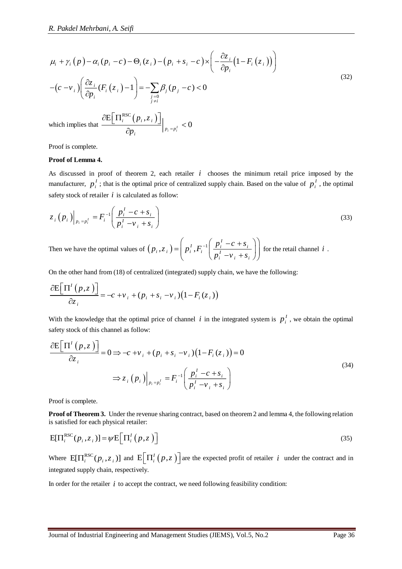$$
\mu_{i} + \gamma_{i}(p) - \alpha_{i}(p_{i} - c) - \Theta_{i}(z_{i}) - (p_{i} + s_{i} - c) \times \left( -\frac{\partial z_{i}}{\partial p_{i}}(1 - F_{i}(z_{i})) \right)
$$
\n
$$
-(c - v_{i}) \left( \frac{\partial z_{i}}{\partial p_{i}}(F_{i}(z_{i}) - 1) \right) = -\sum_{j=0} B_{j}(p_{j} - c) < 0
$$
\nwhich implies that 
$$
\frac{\partial E[11_{i}^{RSC}(p_{i}, z_{i})]}{\partial p_{i}} \Big|_{p_{i} = p_{i}'} < 0
$$

\nProof is complete.

\nProof of Lemma 4.

\nAs discussed in proof of theorem 2, each retailer *i* chooses the minimum retail price imposed by the manufacturer,  $p_{i}^{t}$ ; this the optimal price of centralized supply chain. Based on the value of  $p_{i}^{t}$ , the optimal strategy stock of retuier *i* is calculated as follow:

\n
$$
z_{i}(p_{i}) \Big|_{p_{i} = p_{i}^{t}} = F_{i}^{-1} \left( \frac{p_{i}^{t} - c + s_{i}}{p_{i}^{t} - v_{i} + s_{i}} \right)
$$
\nThen we have the optimal values of  $(p_{i}, z_{i}) = \left( p_{i}^{t}, F_{i}^{-1} \left( \frac{p_{i}^{t} - c + s_{i}}{p_{i}^{t} - v_{i} + s_{i}} \right) \right)$  for the retail channel *i*.

\nOn the other hand from (18) of centralized (integrated) supply chain, we have the following:

\n
$$
\frac{\partial E[11^{t}(p,z)]}{\partial z_{i}} = -c + v_{i} + (p_{i} + s_{i} - v_{i})(1 - F_{i}(z_{i}))
$$
\nWith the knowledge that the optimal price of channel *i* in the integrated system is  $p_{i}^{t}$ , we obtain the optimal  $\frac{\partial E[11^{t}(p,z)]}{\partial z_{i}} = 0 \Rightarrow -c + v_{i} + (p_{i} + s_{i} - v_{i})(1 - F_{i}(z_{i})) = 0$ \n
$$
\Rightarrow z_{i}(p_{i}) \Big|_{p_{i} = p_{i}^{t}} = F_{i}^{-1} \left( \frac{p_{i}^{t} - c
$$

which implies that  $\frac{\partial E[\Pi_i^{\text{RSC}}(p_i, z_i)]}{\partial \Pi_i^{\text{RSC}}(p_i, z_i)}$  $\sum_{i=1}^{j} < 0$  $i \qquad \{F \, i \; , \sim i$ *i*  $P_i = p$  $P_i$ , z  $\frac{\partial \mathrm{E} \Big[\, \Pi^{\mathrm{RSC}}_i\big(p_{i\,}, z_{\,i}\,\big)\Big]}{\partial p_{i}}\Big|_{\,p_{i}\,=\,p^I_{i}}\, <$ õ

Proof is complete.

#### **Proof of Lemma 4.**

As discussed in proof of theorem 2, each retailer  $i$  chooses the minimum retail price imposed by the manufacturer,  $p_i^I$ ; that is the optimal price of centralized supply chain. Based on the value of  $p_i^I$ , the optimal safety stock of retailer  $i$  is calculated as follow:

$$
z_i(p_i)|_{p_i = p_i^l} = F_i^{-1} \left( \frac{p_i^l - c + s_i}{p_i^l - v_i + s_i} \right)
$$
 (33)

Then we have the optimal values of  $(p_i, z_i) = |p_i^T, F_i^{-1}|$  $\sum_{I}$   $\sum_{i=1}^{I}$   $\sum_{i=1}^{I}$   $-c + s_i$  $i^{i}$   $\sim$  *i*  $j$  |  $i^{i}$   $\sim$  *i* |  $I$ *i i i*  $p_i$ ,  $z_i$ ) =  $p_i^I$ ,  $F_i^{-1}$   $\frac{p_i - c + s}{l}$  $p_i - v_i + s$  $=\left(p_i^I, F_i^{-1}\left(\frac{p_i^I - c + s_i}{p_i^I - v_i + s_i}\right)\right)$  for the retail channel *i*.

On the other hand from (18) of centralized (integrated) supply chain, we have the following:  
\n
$$
\frac{\partial E[T^1(p,z)]}{\partial z_i} = -c + v_i + (p_i + s_i - v_i)(1 - F_i(z_i))
$$

With the knowledge that the optimal price of channel  $i$  in the integrated system is  $p_i^I$ , we obtain the optimal safety stock of this channel as follow:

$$
\frac{\partial E\left[\Pi^{I}\left(p,z\right)\right]}{\partial z_{i}} = 0 \Rightarrow -c + v_{i} + (p_{i} + s_{i} - v_{i})\left(1 - F_{i}\left(z_{i}\right)\right) = 0
$$
\n
$$
\Rightarrow z_{i}\left(p_{i}\right)\Big|_{p_{i}=p_{i}^{I}} = F_{i}^{-1}\left(\frac{p_{i}^{I} - c + s_{i}}{p_{i}^{I} - v_{i} + s_{i}}\right)
$$
\n(34)

Proof is complete.

**Proof of Theorem 3.** Under the revenue sharing contract, based on theorem 2 and lemma 4, the following relation is satisfied for each physical retailer:

$$
E[\Pi_i^{\text{RSC}}(p_i, z_i)] = \psi E\Big[\Pi_i^I(p, z)\Big]
$$
\n(35)

Where  $E[\Pi_i^{\text{RSC}}(p_i, z_i)]$  and  $E[\Pi_i^I(p, z_i)]$  $\left[\Pi^l_i(p,z)\right]$  are the expected profit of retailer *i* under the contract and in integrated supply chain, respectively.

In order for the retailer  $i$  to accept the contract, we need following feasibility condition: